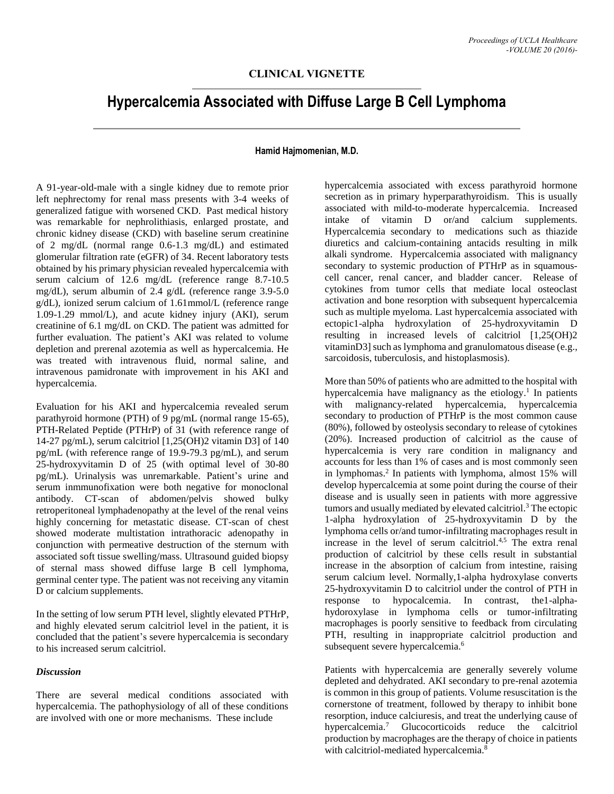## **CLINICAL VIGNETTE**

# **Hypercalcemia Associated with Diffuse Large B Cell Lymphoma**

#### **Hamid Hajmomenian, M.D.**

A 91-year-old-male with a single kidney due to remote prior left nephrectomy for renal mass presents with 3-4 weeks of generalized fatigue with worsened CKD. Past medical history was remarkable for nephrolithiasis, enlarged prostate, and chronic kidney disease (CKD) with baseline serum creatinine of 2 mg/dL (normal range 0.6-1.3 mg/dL) and estimated glomerular filtration rate (eGFR) of 34. Recent laboratory tests obtained by his primary physician revealed hypercalcemia with serum calcium of 12.6 mg/dL (reference range 8.7-10.5 mg/dL), serum albumin of 2.4 g/dL (reference range 3.9-5.0 g/dL), ionized serum calcium of 1.61mmol/L (reference range 1.09-1.29 mmol/L), and acute kidney injury (AKI), serum creatinine of 6.1 mg/dL on CKD. The patient was admitted for further evaluation. The patient's AKI was related to volume depletion and prerenal azotemia as well as hypercalcemia. He was treated with intravenous fluid, normal saline, and intravenous pamidronate with improvement in his AKI and hypercalcemia.

Evaluation for his AKI and hypercalcemia revealed serum parathyroid hormone (PTH) of 9 pg/mL (normal range 15-65), PTH-Related Peptide (PTHrP) of 31 (with reference range of 14-27 pg/mL), serum calcitriol [1,25(OH)2 vitamin D3] of 140 pg/mL (with reference range of 19.9-79.3 pg/mL), and serum 25-hydroxyvitamin D of 25 (with optimal level of 30-80 pg/mL). Urinalysis was unremarkable. Patient's urine and serum inmmunofixation were both negative for monoclonal antibody. CT-scan of abdomen/pelvis showed bulky retroperitoneal lymphadenopathy at the level of the renal veins highly concerning for metastatic disease. CT-scan of chest showed moderate multistation intrathoracic adenopathy in conjunction with permeative destruction of the sternum with associated soft tissue swelling/mass. Ultrasound guided biopsy of sternal mass showed diffuse large B cell lymphoma, germinal center type. The patient was not receiving any vitamin D or calcium supplements.

In the setting of low serum PTH level, slightly elevated PTHrP, and highly elevated serum calcitriol level in the patient, it is concluded that the patient's severe hypercalcemia is secondary to his increased serum calcitriol.

#### *Discussion*

There are several medical conditions associated with hypercalcemia. The pathophysiology of all of these conditions are involved with one or more mechanisms. These include

hypercalcemia associated with excess parathyroid hormone secretion as in primary hyperparathyroidism. This is usually associated with mild-to-moderate hypercalcemia. Increased intake of vitamin D or/and calcium supplements. Hypercalcemia secondary to medications such as thiazide diuretics and calcium-containing antacids resulting in milk alkali syndrome. Hypercalcemia associated with malignancy secondary to systemic production of PTHrP as in squamouscell cancer, renal cancer, and bladder cancer. Release of cytokines from tumor cells that mediate local osteoclast activation and bone resorption with subsequent hypercalcemia such as multiple myeloma. Last hypercalcemia associated with ectopic1-alpha hydroxylation of 25-hydroxyvitamin D resulting in increased levels of calcitriol [1,25(OH)2 vitaminD3] such as lymphoma and granulomatous disease (e.g., sarcoidosis, tuberculosis, and histoplasmosis).

More than 50% of patients who are admitted to the hospital with hypercalcemia have malignancy as the etiology.<sup>1</sup> In patients with malignancy-related hypercalcemia, hypercalcemia secondary to production of PTHrP is the most common cause (80%), followed by osteolysis secondary to release of cytokines (20%). Increased production of calcitriol as the cause of hypercalcemia is very rare condition in malignancy and accounts for less than 1% of cases and is most commonly seen in lymphomas. 2 In patients with lymphoma, almost 15% will develop hypercalcemia at some point during the course of their disease and is usually seen in patients with more aggressive tumors and usually mediated by elevated calcitriol. <sup>3</sup> The ectopic 1-alpha hydroxylation of 25-hydroxyvitamin D by the lymphoma cells or/and tumor-infiltrating macrophages result in increase in the level of serum calcitriol. 4,5 The extra renal production of calcitriol by these cells result in substantial increase in the absorption of calcium from intestine, raising serum calcium level. Normally,1-alpha hydroxylase converts 25-hydroxyvitamin D to calcitriol under the control of PTH in response to hypocalcemia. In contrast, the1-alphahydoroxylase in lymphoma cells or tumor-infiltrating macrophages is poorly sensitive to feedback from circulating PTH, resulting in inappropriate calcitriol production and subsequent severe hypercalcemia.<sup>6</sup>

Patients with hypercalcemia are generally severely volume depleted and dehydrated. AKI secondary to pre-renal azotemia is common in this group of patients. Volume resuscitation is the cornerstone of treatment, followed by therapy to inhibit bone resorption, induce calciuresis, and treat the underlying cause of hypercalcemia. <sup>7</sup> Glucocorticoids reduce the calcitriol production by macrophages are the therapy of choice in patients with calcitriol-mediated hypercalcemia.<sup>8</sup>